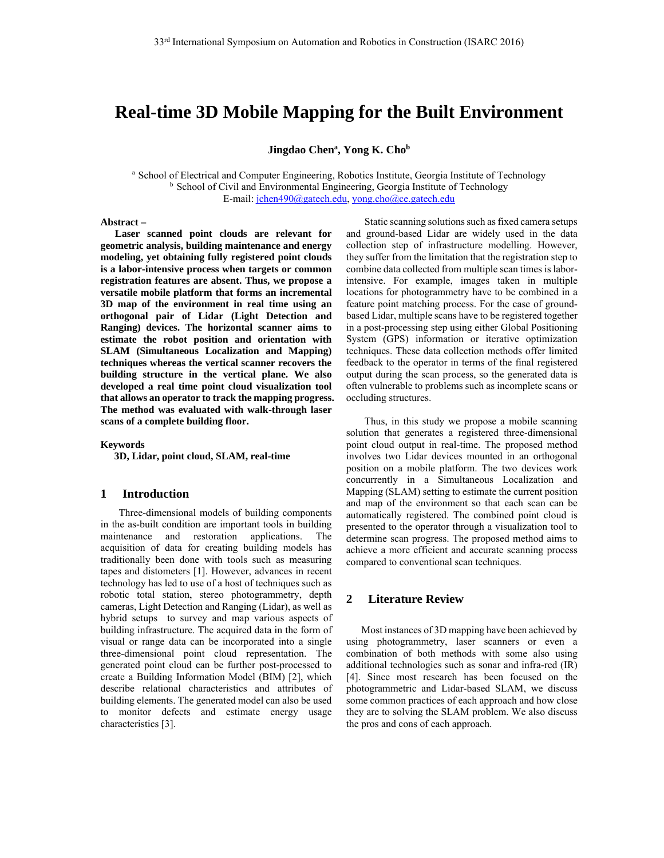# **Real-time 3D Mobile Mapping for the Built Environment**

Jingdao Chen<sup>a</sup>, Yong K. Cho<sup>b</sup>

<sup>a</sup> School of Electrical and Computer Engineering, Robotics Institute, Georgia Institute of Technology<br><sup>b</sup> School of Civil and Environmental Engineering, Georgia Institute of Technology E-mail: jchen490@gatech.edu, yong.cho@ce.gatech.edu

#### **Abstract –**

**Laser scanned point clouds are relevant for geometric analysis, building maintenance and energy modeling, yet obtaining fully registered point clouds is a labor-intensive process when targets or common registration features are absent. Thus, we propose a versatile mobile platform that forms an incremental 3D map of the environment in real time using an orthogonal pair of Lidar (Light Detection and Ranging) devices. The horizontal scanner aims to estimate the robot position and orientation with SLAM (Simultaneous Localization and Mapping) techniques whereas the vertical scanner recovers the building structure in the vertical plane. We also developed a real time point cloud visualization tool that allows an operator to track the mapping progress. The method was evaluated with walk-through laser scans of a complete building floor.** 

**Keywords** 

**3D, Lidar, point cloud, SLAM, real-time** 

## **1 Introduction**

Three-dimensional models of building components in the as-built condition are important tools in building maintenance and restoration applications. The acquisition of data for creating building models has traditionally been done with tools such as measuring tapes and distometers [1]. However, advances in recent technology has led to use of a host of techniques such as robotic total station, stereo photogrammetry, depth cameras, Light Detection and Ranging (Lidar), as well as hybrid setups to survey and map various aspects of building infrastructure. The acquired data in the form of visual or range data can be incorporated into a single three-dimensional point cloud representation. The generated point cloud can be further post-processed to create a Building Information Model (BIM) [2], which describe relational characteristics and attributes of building elements. The generated model can also be used to monitor defects and estimate energy usage characteristics [3].

Static scanning solutions such as fixed camera setups and ground-based Lidar are widely used in the data collection step of infrastructure modelling. However, they suffer from the limitation that the registration step to combine data collected from multiple scan times is laborintensive. For example, images taken in multiple locations for photogrammetry have to be combined in a feature point matching process. For the case of groundbased Lidar, multiple scans have to be registered together in a post-processing step using either Global Positioning System (GPS) information or iterative optimization techniques. These data collection methods offer limited feedback to the operator in terms of the final registered output during the scan process, so the generated data is often vulnerable to problems such as incomplete scans or occluding structures.

Thus, in this study we propose a mobile scanning solution that generates a registered three-dimensional point cloud output in real-time. The proposed method involves two Lidar devices mounted in an orthogonal position on a mobile platform. The two devices work concurrently in a Simultaneous Localization and Mapping (SLAM) setting to estimate the current position and map of the environment so that each scan can be automatically registered. The combined point cloud is presented to the operator through a visualization tool to determine scan progress. The proposed method aims to achieve a more efficient and accurate scanning process compared to conventional scan techniques.

## **2 Literature Review**

 Most instances of 3D mapping have been achieved by using photogrammetry, laser scanners or even a combination of both methods with some also using additional technologies such as sonar and infra-red (IR) [4]. Since most research has been focused on the photogrammetric and Lidar-based SLAM, we discuss some common practices of each approach and how close they are to solving the SLAM problem. We also discuss the pros and cons of each approach.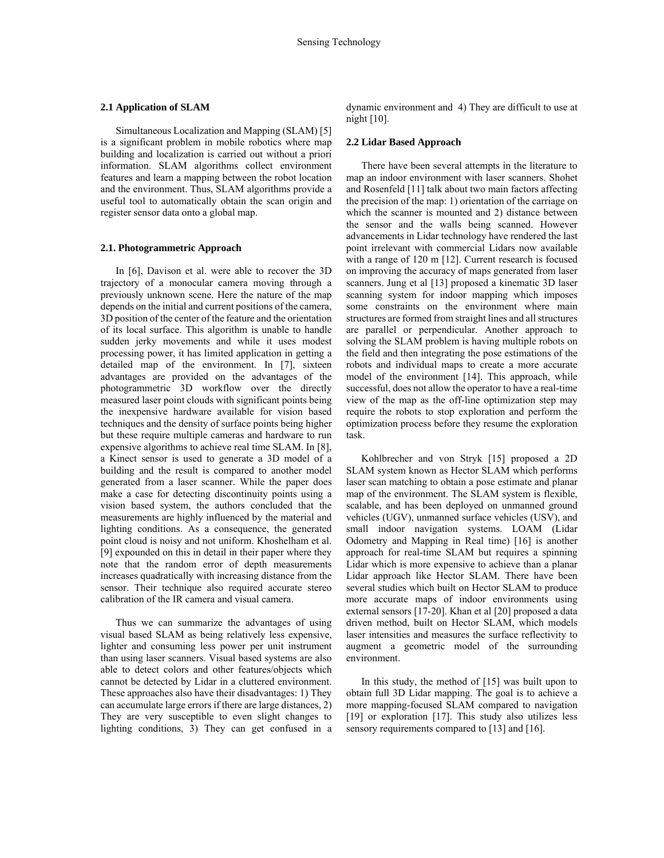#### **2.1 Application of SLAM**

 Simultaneous Localization and Mapping (SLAM) [5] is a significant problem in mobile robotics where map building and localization is carried out without a priori information. SLAM algorithms collect environment features and learn a mapping between the robot location and the environment. Thus, SLAM algorithms provide a useful tool to automatically obtain the scan origin and register sensor data onto a global map.

#### **2.1. Photogrammetric Approach**

 In [6], Davison et al. were able to recover the 3D trajectory of a monocular camera moving through a previously unknown scene. Here the nature of the map depends on the initial and current positions of the camera, 3D position of the center of the feature and the orientation of its local surface. This algorithm is unable to handle sudden jerky movements and while it uses modest processing power, it has limited application in getting a detailed map of the environment. In [7], sixteen advantages are provided on the advantages of the photogrammetric 3D workflow over the directly measured laser point clouds with significant points being the inexpensive hardware available for vision based techniques and the density of surface points being higher but these require multiple cameras and hardware to run expensive algorithms to achieve real time SLAM. In [8], a Kinect sensor is used to generate a 3D model of a building and the result is compared to another model generated from a laser scanner. While the paper does make a case for detecting discontinuity points using a vision based system, the authors concluded that the measurements are highly influenced by the material and lighting conditions. As a consequence, the generated point cloud is noisy and not uniform. Khoshelham et al. [9] expounded on this in detail in their paper where they note that the random error of depth measurements increases quadratically with increasing distance from the sensor. Their technique also required accurate stereo calibration of the IR camera and visual camera.

 Thus we can summarize the advantages of using visual based SLAM as being relatively less expensive, lighter and consuming less power per unit instrument than using laser scanners. Visual based systems are also able to detect colors and other features/objects which cannot be detected by Lidar in a cluttered environment. These approaches also have their disadvantages: 1) They can accumulate large errors if there are large distances, 2) They are very susceptible to even slight changes to lighting conditions, 3) They can get confused in a

dynamic environment and 4) They are difficult to use at night [10].

#### **2.2 Lidar Based Approach**

 There have been several attempts in the literature to map an indoor environment with laser scanners. Shohet and Rosenfeld [11] talk about two main factors affecting the precision of the map: 1) orientation of the carriage on which the scanner is mounted and 2) distance between the sensor and the walls being scanned. However advancements in Lidar technology have rendered the last point irrelevant with commercial Lidars now available with a range of 120 m [12]. Current research is focused on improving the accuracy of maps generated from laser scanners. Jung et al [13] proposed a kinematic 3D laser scanning system for indoor mapping which imposes some constraints on the environment where main structures are formed from straight lines and all structures are parallel or perpendicular. Another approach to solving the SLAM problem is having multiple robots on the field and then integrating the pose estimations of the robots and individual maps to create a more accurate model of the environment [14]. This approach, while successful, does not allow the operator to have a real-time view of the map as the off-line optimization step may require the robots to stop exploration and perform the optimization process before they resume the exploration task.

 Kohlbrecher and von Stryk [15] proposed a 2D SLAM system known as Hector SLAM which performs laser scan matching to obtain a pose estimate and planar map of the environment. The SLAM system is flexible, scalable, and has been deployed on unmanned ground vehicles (UGV), unmanned surface vehicles (USV), and small indoor navigation systems. LOAM (Lidar Odometry and Mapping in Real time) [16] is another approach for real-time SLAM but requires a spinning Lidar which is more expensive to achieve than a planar Lidar approach like Hector SLAM. There have been several studies which built on Hector SLAM to produce more accurate maps of indoor environments using external sensors [17-20]. Khan et al [20] proposed a data driven method, built on Hector SLAM, which models laser intensities and measures the surface reflectivity to augment a geometric model of the surrounding environment.

 In this study, the method of [15] was built upon to obtain full 3D Lidar mapping. The goal is to achieve a more mapping-focused SLAM compared to navigation [19] or exploration [17]. This study also utilizes less sensory requirements compared to [13] and [16].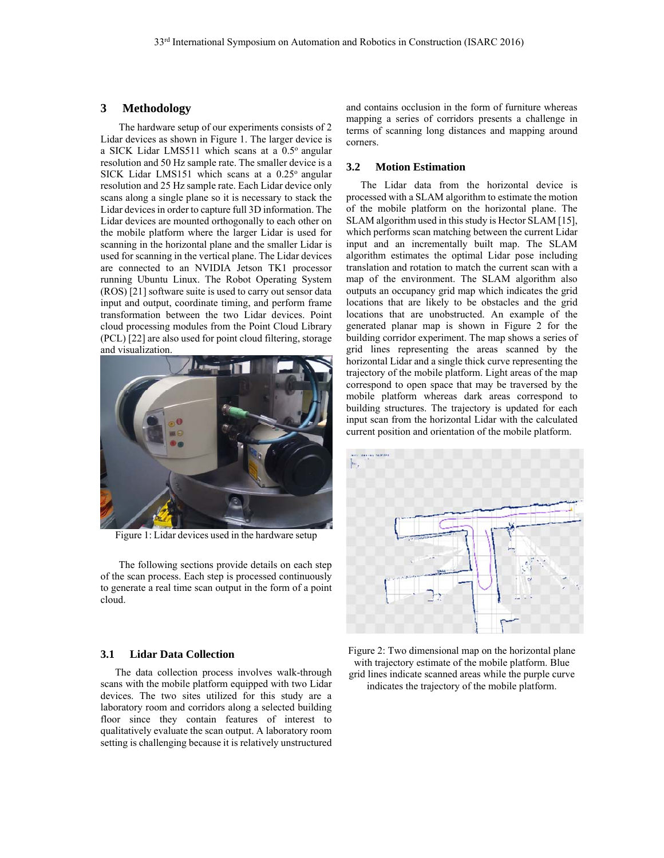## **3 Methodology**

The hardware setup of our experiments consists of 2 Lidar devices as shown in Figure 1. The larger device is a SICK Lidar LMS511 which scans at a 0.5° angular resolution and 50 Hz sample rate. The smaller device is a SICK Lidar LMS151 which scans at a  $0.25^{\circ}$  angular resolution and 25 Hz sample rate. Each Lidar device only scans along a single plane so it is necessary to stack the Lidar devices in order to capture full 3D information. The Lidar devices are mounted orthogonally to each other on the mobile platform where the larger Lidar is used for scanning in the horizontal plane and the smaller Lidar is used for scanning in the vertical plane. The Lidar devices are connected to an NVIDIA Jetson TK1 processor running Ubuntu Linux. The Robot Operating System (ROS) [21] software suite is used to carry out sensor data input and output, coordinate timing, and perform frame transformation between the two Lidar devices. Point cloud processing modules from the Point Cloud Library (PCL) [22] are also used for point cloud filtering, storage and visualization.



Figure 1: Lidar devices used in the hardware setup

The following sections provide details on each step of the scan process. Each step is processed continuously to generate a real time scan output in the form of a point cloud.

#### **3.1 Lidar Data Collection**

The data collection process involves walk-through scans with the mobile platform equipped with two Lidar devices. The two sites utilized for this study are a laboratory room and corridors along a selected building floor since they contain features of interest to qualitatively evaluate the scan output. A laboratory room setting is challenging because it is relatively unstructured and contains occlusion in the form of furniture whereas mapping a series of corridors presents a challenge in terms of scanning long distances and mapping around corners.

# **3.2 Motion Estimation**

The Lidar data from the horizontal device is processed with a SLAM algorithm to estimate the motion of the mobile platform on the horizontal plane. The SLAM algorithm used in this study is Hector SLAM [15], which performs scan matching between the current Lidar input and an incrementally built map. The SLAM algorithm estimates the optimal Lidar pose including translation and rotation to match the current scan with a map of the environment. The SLAM algorithm also outputs an occupancy grid map which indicates the grid locations that are likely to be obstacles and the grid locations that are unobstructed. An example of the generated planar map is shown in Figure 2 for the building corridor experiment. The map shows a series of grid lines representing the areas scanned by the horizontal Lidar and a single thick curve representing the trajectory of the mobile platform. Light areas of the map correspond to open space that may be traversed by the mobile platform whereas dark areas correspond to building structures. The trajectory is updated for each input scan from the horizontal Lidar with the calculated current position and orientation of the mobile platform.



Figure 2: Two dimensional map on the horizontal plane with trajectory estimate of the mobile platform. Blue grid lines indicate scanned areas while the purple curve indicates the trajectory of the mobile platform.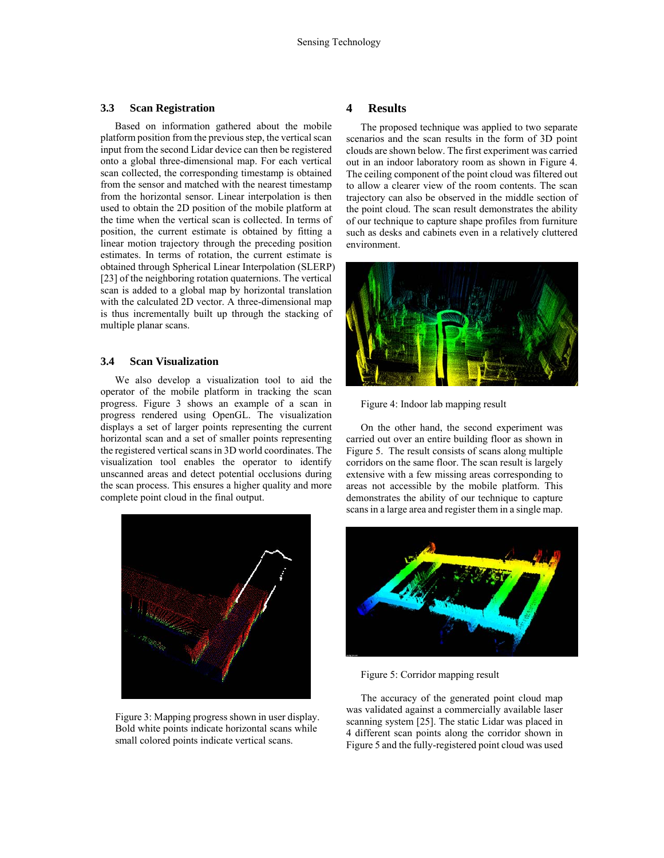#### **3.3 Scan Registration**

Based on information gathered about the mobile platform position from the previous step, the vertical scan input from the second Lidar device can then be registered onto a global three-dimensional map. For each vertical scan collected, the corresponding timestamp is obtained from the sensor and matched with the nearest timestamp from the horizontal sensor. Linear interpolation is then used to obtain the 2D position of the mobile platform at the time when the vertical scan is collected. In terms of position, the current estimate is obtained by fitting a linear motion trajectory through the preceding position estimates. In terms of rotation, the current estimate is obtained through Spherical Linear Interpolation (SLERP) [23] of the neighboring rotation quaternions. The vertical scan is added to a global map by horizontal translation with the calculated 2D vector. A three-dimensional map is thus incrementally built up through the stacking of multiple planar scans.

#### **3.4 Scan Visualization**

We also develop a visualization tool to aid the operator of the mobile platform in tracking the scan progress. Figure 3 shows an example of a scan in progress rendered using OpenGL. The visualization displays a set of larger points representing the current horizontal scan and a set of smaller points representing the registered vertical scans in 3D world coordinates. The visualization tool enables the operator to identify unscanned areas and detect potential occlusions during the scan process. This ensures a higher quality and more complete point cloud in the final output.



Figure 3: Mapping progress shown in user display. Bold white points indicate horizontal scans while small colored points indicate vertical scans.

#### **4 Results**

The proposed technique was applied to two separate scenarios and the scan results in the form of 3D point clouds are shown below. The first experiment was carried out in an indoor laboratory room as shown in Figure 4. The ceiling component of the point cloud was filtered out to allow a clearer view of the room contents. The scan trajectory can also be observed in the middle section of the point cloud. The scan result demonstrates the ability of our technique to capture shape profiles from furniture such as desks and cabinets even in a relatively cluttered environment.



Figure 4: Indoor lab mapping result

On the other hand, the second experiment was carried out over an entire building floor as shown in Figure 5. The result consists of scans along multiple corridors on the same floor. The scan result is largely extensive with a few missing areas corresponding to areas not accessible by the mobile platform. This demonstrates the ability of our technique to capture scans in a large area and register them in a single map.



Figure 5: Corridor mapping result

The accuracy of the generated point cloud map was validated against a commercially available laser scanning system [25]. The static Lidar was placed in 4 different scan points along the corridor shown in Figure 5 and the fully-registered point cloud was used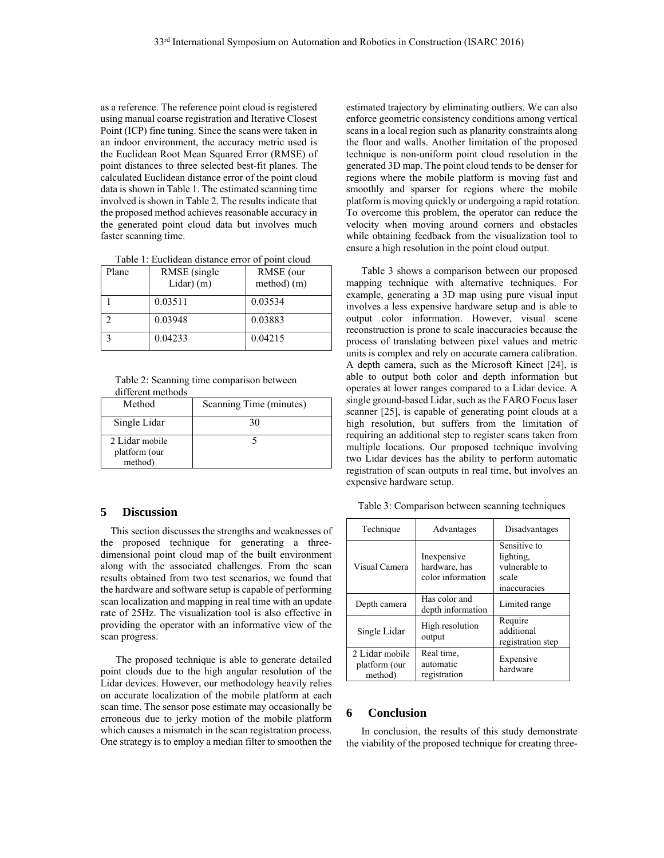as a reference. The reference point cloud is registered using manual coarse registration and Iterative Closest Point (ICP) fine tuning. Since the scans were taken in an indoor environment, the accuracy metric used is the Euclidean Root Mean Squared Error (RMSE) of point distances to three selected best-fit planes. The calculated Euclidean distance error of the point cloud data is shown in Table 1. The estimated scanning time involved is shown in Table 2. The results indicate that the proposed method achieves reasonable accuracy in the generated point cloud data but involves much faster scanning time.

| Table 1: Euclidean distance error of point cloud |  |  |
|--------------------------------------------------|--|--|
|--------------------------------------------------|--|--|

| Plane        | RMSE (single)<br>$Lidar)$ (m) | RMSE (our<br>method) (m) |
|--------------|-------------------------------|--------------------------|
|              | 0.03511                       | 0.03534                  |
| ◠            | 0.03948                       | 0.03883                  |
| $\mathbf{r}$ | 0.04233                       | 0.04215                  |

Table 2: Scanning time comparison between different methods

| Method                                     | Scanning Time (minutes) |
|--------------------------------------------|-------------------------|
| Single Lidar                               | 30                      |
| 2 Lidar mobile<br>platform (our<br>method) |                         |

# **5 Discussion**

 This section discusses the strengths and weaknesses of the proposed technique for generating a threedimensional point cloud map of the built environment along with the associated challenges. From the scan results obtained from two test scenarios, we found that the hardware and software setup is capable of performing scan localization and mapping in real time with an update rate of 25Hz. The visualization tool is also effective in providing the operator with an informative view of the scan progress.

 The proposed technique is able to generate detailed point clouds due to the high angular resolution of the Lidar devices. However, our methodology heavily relies on accurate localization of the mobile platform at each scan time. The sensor pose estimate may occasionally be erroneous due to jerky motion of the mobile platform which causes a mismatch in the scan registration process. One strategy is to employ a median filter to smoothen the estimated trajectory by eliminating outliers. We can also enforce geometric consistency conditions among vertical scans in a local region such as planarity constraints along the floor and walls. Another limitation of the proposed technique is non-uniform point cloud resolution in the generated 3D map. The point cloud tends to be denser for regions where the mobile platform is moving fast and smoothly and sparser for regions where the mobile platform is moving quickly or undergoing a rapid rotation. To overcome this problem, the operator can reduce the velocity when moving around corners and obstacles while obtaining feedback from the visualization tool to ensure a high resolution in the point cloud output.

 Table 3 shows a comparison between our proposed mapping technique with alternative techniques. For example, generating a 3D map using pure visual input involves a less expensive hardware setup and is able to output color information. However, visual scene reconstruction is prone to scale inaccuracies because the process of translating between pixel values and metric units is complex and rely on accurate camera calibration. A depth camera, such as the Microsoft Kinect [24], is able to output both color and depth information but operates at lower ranges compared to a Lidar device. A single ground-based Lidar, such as the FARO Focus laser scanner [25], is capable of generating point clouds at a high resolution, but suffers from the limitation of requiring an additional step to register scans taken from multiple locations. Our proposed technique involving two Lidar devices has the ability to perform automatic registration of scan outputs in real time, but involves an expensive hardware setup.

| Table 3: Comparison between scanning techniques |  |  |
|-------------------------------------------------|--|--|
|                                                 |  |  |
|                                                 |  |  |

| Technique                                  | Advantages                                        | Disadvantages                                                       |
|--------------------------------------------|---------------------------------------------------|---------------------------------------------------------------------|
| Visual Camera                              | Inexpensive<br>hardware, has<br>color information | Sensitive to<br>lighting,<br>vulnerable to<br>scale<br>inaccuracies |
| Depth camera                               | Has color and<br>depth information                | Limited range                                                       |
| Single Lidar                               | High resolution<br>output                         | Require<br>additional<br>registration step                          |
| 2 Lidar mobile<br>platform (our<br>method) | Real time.<br>automatic<br>registration           | Expensive<br>hardware                                               |

# **6 Conclusion**

 In conclusion, the results of this study demonstrate the viability of the proposed technique for creating three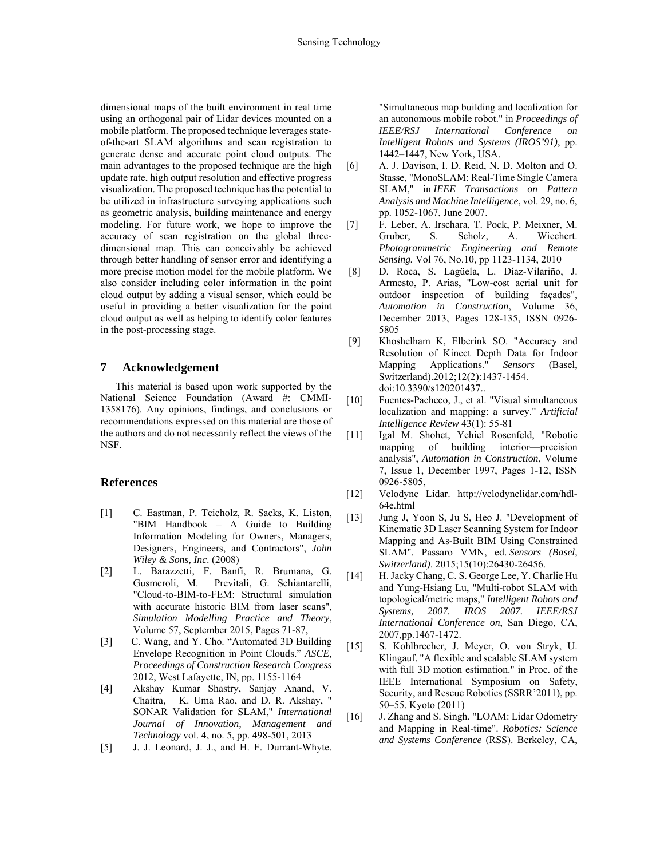dimensional maps of the built environment in real time using an orthogonal pair of Lidar devices mounted on a mobile platform. The proposed technique leverages stateof-the-art SLAM algorithms and scan registration to generate dense and accurate point cloud outputs. The main advantages to the proposed technique are the high update rate, high output resolution and effective progress visualization. The proposed technique has the potential to be utilized in infrastructure surveying applications such as geometric analysis, building maintenance and energy modeling. For future work, we hope to improve the accuracy of scan registration on the global threedimensional map. This can conceivably be achieved through better handling of sensor error and identifying a more precise motion model for the mobile platform. We also consider including color information in the point cloud output by adding a visual sensor, which could be useful in providing a better visualization for the point cloud output as well as helping to identify color features in the post-processing stage.

# **7 Acknowledgement**

 This material is based upon work supported by the National Science Foundation (Award #: CMMI-1358176). Any opinions, findings, and conclusions or recommendations expressed on this material are those of the authors and do not necessarily reflect the views of the NSF.

### **References**

- [1] C. Eastman, P. Teicholz, R. Sacks, K. Liston, "BIM Handbook – A Guide to Building Information Modeling for Owners, Managers, Designers, Engineers, and Contractors", *John Wiley & Sons, Inc*. (2008)
- [2] L. Barazzetti, F. Banfi, R. Brumana, G. Gusmeroli, M. Previtali, G. Schiantarelli, "Cloud-to-BIM-to-FEM: Structural simulation with accurate historic BIM from laser scans", *Simulation Modelling Practice and Theory*, Volume 57, September 2015, Pages 71-87,
- [3] C. Wang, and Y. Cho. "Automated 3D Building Envelope Recognition in Point Clouds." *ASCE, Proceedings of Construction Research Congress* 2012, West Lafayette, IN, pp. 1155-1164
- [4] Akshay Kumar Shastry, Sanjay Anand, V. Chaitra, K. Uma Rao, and D. R. Akshay, " SONAR Validation for SLAM," *International Journal of Innovation, Management and Technology* vol. 4, no. 5, pp. 498-501, 2013
- [5] J. J. Leonard, J. J., and H. F. Durrant-Whyte.

"Simultaneous map building and localization for an autonomous mobile robot." in *Proceedings of IEEE/RSJ International Conference on Intelligent Robots and Systems (IROS'91)*, pp. 1442–1447, New York, USA.

- [6] A. J. Davison, I. D. Reid, N. D. Molton and O. Stasse, "MonoSLAM: Real-Time Single Camera SLAM," in *IEEE Transactions on Pattern Analysis and Machine Intelligence*, vol. 29, no. 6, pp. 1052-1067, June 2007.
- [7] F. Leber, A. Irschara, T. Pock, P. Meixner, M. Gruber, S. Scholz, A. Wiechert. *Photogrammetric Engineering and Remote Sensing.* Vol 76, No.10, pp 1123-1134, 2010
- [8] D. Roca, S. Lagüela, L. Díaz-Vilariño, J. Armesto, P. Arias, "Low-cost aerial unit for outdoor inspection of building façades", *Automation in Construction*, Volume 36, December 2013, Pages 128-135, ISSN 0926- 5805
- [9] Khoshelham K, Elberink SO. "Accuracy and Resolution of Kinect Depth Data for Indoor Mapping Applications." *Sensors* (Basel, Switzerland).2012;12(2):1437-1454. doi:10.3390/s120201437..
- [10] Fuentes-Pacheco, J., et al. "Visual simultaneous localization and mapping: a survey." *Artificial Intelligence Review* 43(1): 55-81
- [11] Igal M. Shohet, Yehiel Rosenfeld, "Robotic mapping of building interior—precision analysis", *Automation in Construction*, Volume 7, Issue 1, December 1997, Pages 1-12, ISSN 0926-5805,
- [12] Velodyne Lidar. http://velodynelidar.com/hdl-64e.html
- [13] Jung J, Yoon S, Ju S, Heo J. "Development of Kinematic 3D Laser Scanning System for Indoor Mapping and As-Built BIM Using Constrained SLAM". Passaro VMN, ed. *Sensors (Basel, Switzerland)*. 2015;15(10):26430-26456.
- [14] H. Jacky Chang, C. S. George Lee, Y. Charlie Hu and Yung-Hsiang Lu, "Multi-robot SLAM with topological/metric maps," *Intelligent Robots and Systems, 2007. IROS 2007. IEEE/RSJ International Conference on*, San Diego, CA, 2007,pp.1467-1472.
- [15] S. Kohlbrecher, J. Meyer, O. von Stryk, U. Klingauf. "A flexible and scalable SLAM system with full 3D motion estimation." in Proc. of the IEEE International Symposium on Safety, Security, and Rescue Robotics (SSRR'2011), pp. 50–55. Kyoto (2011)
- [16] J. Zhang and S. Singh. "LOAM: Lidar Odometry and Mapping in Real-time". *Robotics: Science and Systems Conference* (RSS). Berkeley, CA,